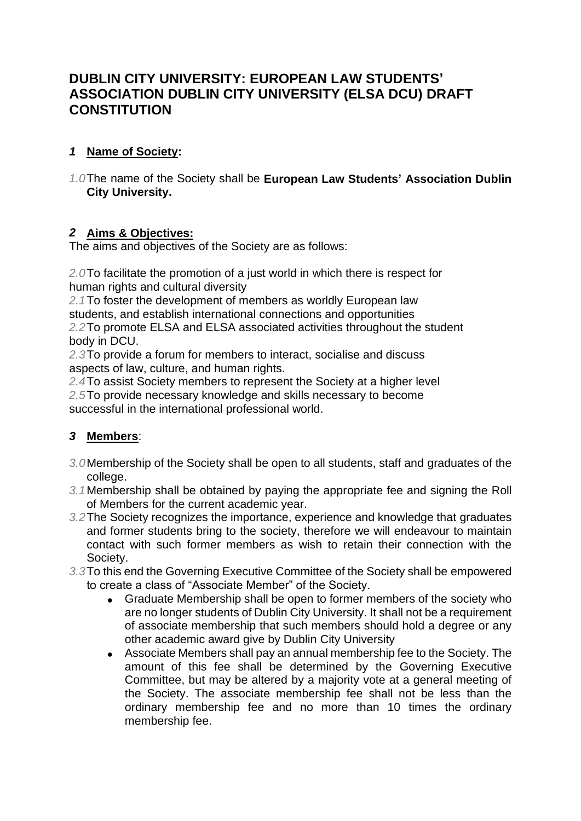# **DUBLIN CITY UNIVERSITY: EUROPEAN LAW STUDENTS' ASSOCIATION DUBLIN CITY UNIVERSITY (ELSA DCU) DRAFT CONSTITUTION**

### *1* **Name of Society:**

*1.0*The name of the Society shall be **European Law Students' Association Dublin City University.**

#### *2* **Aims & Objectives:**

The aims and objectives of the Society are as follows:

*2.0*To facilitate the promotion of a just world in which there is respect for human rights and cultural diversity

*2.1*To foster the development of members as worldly European law students, and establish international connections and opportunities *2.2*To promote ELSA and ELSA associated activities throughout the student body in DCU.

*2.3*To provide a forum for members to interact, socialise and discuss aspects of law, culture, and human rights.

*2.4*To assist Society members to represent the Society at a higher level *2.5*To provide necessary knowledge and skills necessary to become successful in the international professional world.

### *3* **Members**:

- *3.0*Membership of the Society shall be open to all students, staff and graduates of the college.
- *3.1*Membership shall be obtained by paying the appropriate fee and signing the Roll of Members for the current academic year.
- *3.2*The Society recognizes the importance, experience and knowledge that graduates and former students bring to the society, therefore we will endeavour to maintain contact with such former members as wish to retain their connection with the Society.
- *3.3*To this end the Governing Executive Committee of the Society shall be empowered to create a class of "Associate Member" of the Society.
	- Graduate Membership shall be open to former members of the society who are no longer students of Dublin City University. It shall not be a requirement of associate membership that such members should hold a degree or any other academic award give by Dublin City University
	- Associate Members shall pay an annual membership fee to the Society. The amount of this fee shall be determined by the Governing Executive Committee, but may be altered by a majority vote at a general meeting of the Society. The associate membership fee shall not be less than the ordinary membership fee and no more than 10 times the ordinary membership fee.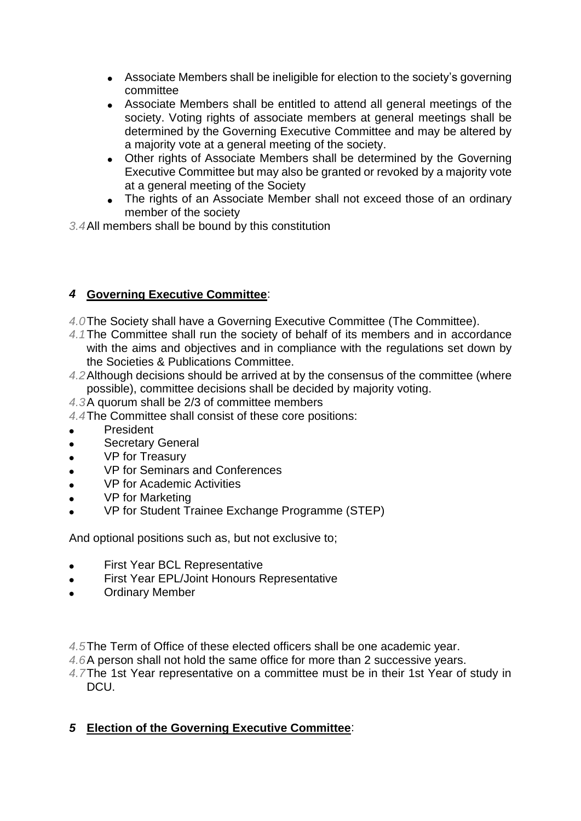- Associate Members shall be ineligible for election to the society's governing committee
- Associate Members shall be entitled to attend all general meetings of the society. Voting rights of associate members at general meetings shall be determined by the Governing Executive Committee and may be altered by a majority vote at a general meeting of the society.
- Other rights of Associate Members shall be determined by the Governing Executive Committee but may also be granted or revoked by a majority vote at a general meeting of the Society
- The rights of an Associate Member shall not exceed those of an ordinary member of the society

*3.4*All members shall be bound by this constitution

### *4* **Governing Executive Committee**:

- *4.0*The Society shall have a Governing Executive Committee (The Committee).
- *4.1*The Committee shall run the society of behalf of its members and in accordance with the aims and objectives and in compliance with the regulations set down by the Societies & Publications Committee.
- *4.2*Although decisions should be arrived at by the consensus of the committee (where possible), committee decisions shall be decided by majority voting.
- *4.3*A quorum shall be 2/3 of committee members
- *4.4*The Committee shall consist of these core positions:
- **President**
- Secretary General
- VP for Treasury
- VP for Seminars and Conferences
- VP for Academic Activities
- VP for Marketing
- VP for Student Trainee Exchange Programme (STEP)

And optional positions such as, but not exclusive to;

- **First Year BCL Representative**
- First Year EPL/Joint Honours Representative
- **Ordinary Member**

*4.5*The Term of Office of these elected officers shall be one academic year.

- *4.6*A person shall not hold the same office for more than 2 successive years.
- *4.7*The 1st Year representative on a committee must be in their 1st Year of study in DCU.

#### *5* **Election of the Governing Executive Committee**: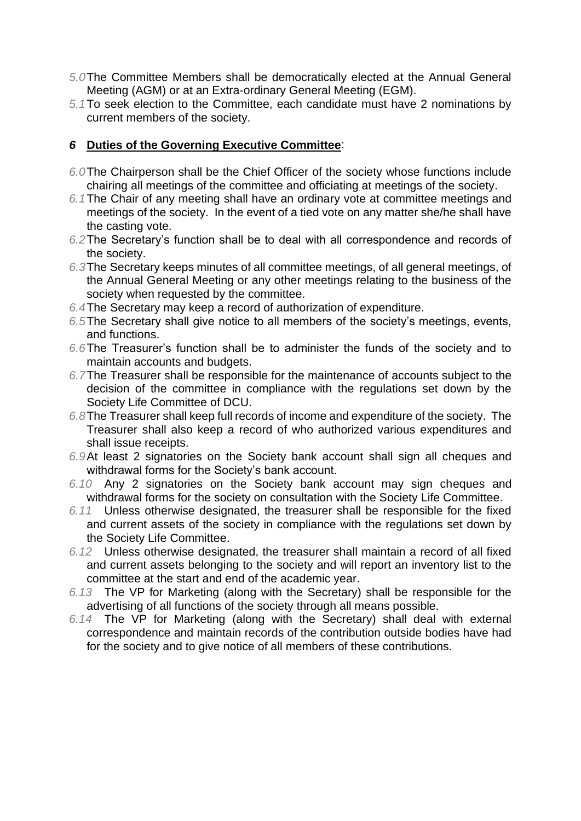- *5.0*The Committee Members shall be democratically elected at the Annual General Meeting (AGM) or at an Extra-ordinary General Meeting (EGM).
- *5.1*To seek election to the Committee, each candidate must have 2 nominations by current members of the society.

#### *6* **Duties of the Governing Executive Committee**:

- *6.0*The Chairperson shall be the Chief Officer of the society whose functions include chairing all meetings of the committee and officiating at meetings of the society.
- *6.1*The Chair of any meeting shall have an ordinary vote at committee meetings and meetings of the society. In the event of a tied vote on any matter she/he shall have the casting vote.
- *6.2*The Secretary's function shall be to deal with all correspondence and records of the society.
- *6.3*The Secretary keeps minutes of all committee meetings, of all general meetings, of the Annual General Meeting or any other meetings relating to the business of the society when requested by the committee.
- *6.4*The Secretary may keep a record of authorization of expenditure.
- *6.5*The Secretary shall give notice to all members of the society's meetings, events, and functions.
- *6.6*The Treasurer's function shall be to administer the funds of the society and to maintain accounts and budgets.
- *6.7*The Treasurer shall be responsible for the maintenance of accounts subject to the decision of the committee in compliance with the regulations set down by the Society Life Committee of DCU.
- *6.8*The Treasurer shall keep full records of income and expenditure of the society. The Treasurer shall also keep a record of who authorized various expenditures and shall issue receipts.
- *6.9*At least 2 signatories on the Society bank account shall sign all cheques and withdrawal forms for the Society's bank account.
- *6.10* Any 2 signatories on the Society bank account may sign cheques and withdrawal forms for the society on consultation with the Society Life Committee.
- *6.11* Unless otherwise designated, the treasurer shall be responsible for the fixed and current assets of the society in compliance with the regulations set down by the Society Life Committee.
- *6.12* Unless otherwise designated, the treasurer shall maintain a record of all fixed and current assets belonging to the society and will report an inventory list to the committee at the start and end of the academic year.
- *6.13* The VP for Marketing (along with the Secretary) shall be responsible for the advertising of all functions of the society through all means possible.
- *6.14* The VP for Marketing (along with the Secretary) shall deal with external correspondence and maintain records of the contribution outside bodies have had for the society and to give notice of all members of these contributions.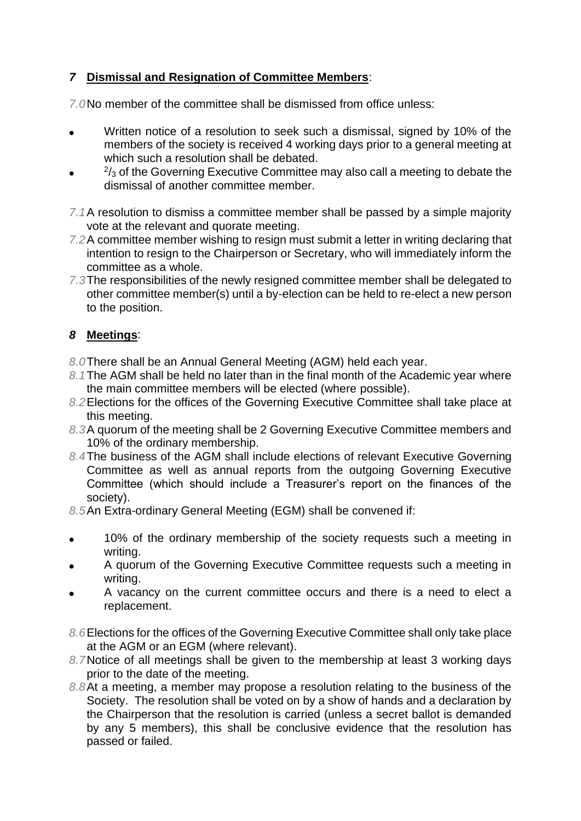### *7* **Dismissal and Resignation of Committee Members**:

*7.0*No member of the committee shall be dismissed from office unless:

- Written notice of a resolution to seek such a dismissal, signed by 10% of the members of the society is received 4 working days prior to a general meeting at which such a resolution shall be debated.
- $2/3$  of the Governing Executive Committee may also call a meeting to debate the dismissal of another committee member.
- *7.1*A resolution to dismiss a committee member shall be passed by a simple majority vote at the relevant and quorate meeting.
- *7.2*A committee member wishing to resign must submit a letter in writing declaring that intention to resign to the Chairperson or Secretary, who will immediately inform the committee as a whole.
- *7.3*The responsibilities of the newly resigned committee member shall be delegated to other committee member(s) until a by-election can be held to re-elect a new person to the position.

### *8* **Meetings**:

- *8.0*There shall be an Annual General Meeting (AGM) held each year.
- *8.1*The AGM shall be held no later than in the final month of the Academic year where the main committee members will be elected (where possible).
- *8.2*Elections for the offices of the Governing Executive Committee shall take place at this meeting.
- *8.3*A quorum of the meeting shall be 2 Governing Executive Committee members and 10% of the ordinary membership.
- *8.4*The business of the AGM shall include elections of relevant Executive Governing Committee as well as annual reports from the outgoing Governing Executive Committee (which should include a Treasurer's report on the finances of the society).

*8.5*An Extra-ordinary General Meeting (EGM) shall be convened if:

- 10% of the ordinary membership of the society requests such a meeting in writing.
- A quorum of the Governing Executive Committee requests such a meeting in writing.
- A vacancy on the current committee occurs and there is a need to elect a replacement.
- *8.6*Elections for the offices of the Governing Executive Committee shall only take place at the AGM or an EGM (where relevant).
- *8.7*Notice of all meetings shall be given to the membership at least 3 working days prior to the date of the meeting.
- *8.8*At a meeting, a member may propose a resolution relating to the business of the Society. The resolution shall be voted on by a show of hands and a declaration by the Chairperson that the resolution is carried (unless a secret ballot is demanded by any 5 members), this shall be conclusive evidence that the resolution has passed or failed.